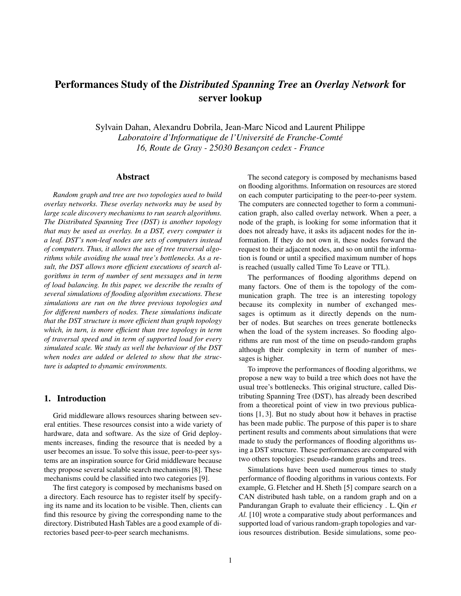# Performances Study of the *Distributed Spanning Tree* an *Overlay Network* for server lookup

Sylvain Dahan, Alexandru Dobrila, Jean-Marc Nicod and Laurent Philippe *Laboratoire d'Informatique de l'Université de Franche-Comté 16, Route de Gray - 25030 Besanc¸on cedex - France*

#### Abstract

*Random graph and tree are two topologies used to build overlay networks. These overlay networks may be used by large scale discovery mechanisms to run search algorithms. The Distributed Spanning Tree (DST) is another topology that may be used as overlay. In a DST, every computer is a leaf. DST's non-leaf nodes are sets of computers instead of computers. Thus, it allows the use of tree traversal algorithms while avoiding the usual tree's bottlenecks. As a result, the DST allows more efficient executions of search algorithms in term of number of sent messages and in term of load balancing. In this paper, we describe the results of several simulations of flooding algorithm executions. These simulations are run on the three previous topologies and for different numbers of nodes. These simulations indicate that the DST structure is more efficient than graph topology which, in turn, is more efficient than tree topology in term of traversal speed and in term of supported load for every simulated scale. We study as well the behaviour of the DST when nodes are added or deleted to show that the structure is adapted to dynamic environments.*

# 1. Introduction

Grid middleware allows resources sharing between several entities. These resources consist into a wide variety of hardware, data and software. As the size of Grid deployments increases, finding the resource that is needed by a user becomes an issue. To solve this issue, peer-to-peer systems are an inspiration source for Grid middleware because they propose several scalable search mechanisms [8]. These mechanisms could be classified into two categories [9].

The first category is composed by mechanisms based on a directory. Each resource has to register itself by specifying its name and its location to be visible. Then, clients can find this resource by giving the corresponding name to the directory. Distributed Hash Tables are a good example of directories based peer-to-peer search mechanisms.

The second category is composed by mechanisms based on flooding algorithms. Information on resources are stored on each computer participating to the peer-to-peer system. The computers are connected together to form a communication graph, also called overlay network. When a peer, a node of the graph, is looking for some information that it does not already have, it asks its adjacent nodes for the information. If they do not own it, these nodes forward the request to their adjacent nodes, and so on until the information is found or until a specified maximum number of hops is reached (usually called Time To Leave or TTL).

The performances of flooding algorithms depend on many factors. One of them is the topology of the communication graph. The tree is an interesting topology because its complexity in number of exchanged messages is optimum as it directly depends on the number of nodes. But searches on trees generate bottlenecks when the load of the system increases. So flooding algorithms are run most of the time on pseudo-random graphs although their complexity in term of number of messages is higher.

To improve the performances of flooding algorithms, we propose a new way to build a tree which does not have the usual tree's bottlenecks. This original structure, called Distributing Spanning Tree (DST), has already been described from a theoretical point of view in two previous publications [1, 3]. But no study about how it behaves in practise has been made public. The purpose of this paper is to share pertinent results and comments about simulations that were made to study the performances of flooding algorithms using a DST structure. These performances are compared with two others topologies: pseudo-random graphs and trees.

Simulations have been used numerous times to study performance of flooding algorithms in various contexts. For example, G. Fletcher and H. Sheth [5] compare search on a CAN distributed hash table, on a random graph and on a Pandurangan Graph to evaluate their efficiency . L. Qin *et Al.* [10] wrote a comparative study about performances and supported load of various random-graph topologies and various resources distribution. Beside simulations, some peo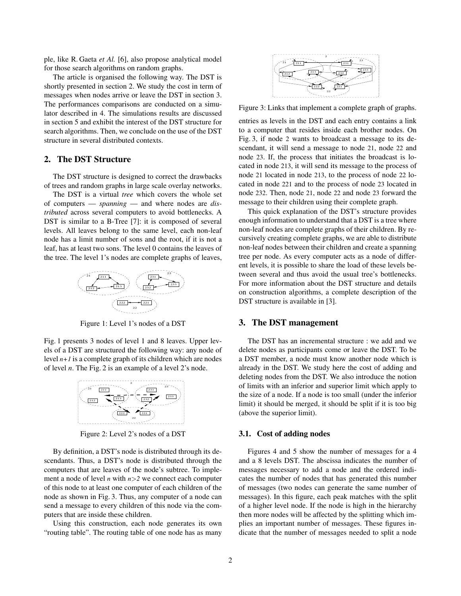ple, like R. Gaeta *et Al.* [6], also propose analytical model for those search algorithms on random graphs.

The article is organised the following way. The DST is shortly presented in section 2. We study the cost in term of messages when nodes arrive or leave the DST in section 3. The performances comparisons are conducted on a simulator described in 4. The simulations results are discussed in section 5 and exhibit the interest of the DST structure for search algorithms. Then, we conclude on the use of the DST structure in several distributed contexts.

# 2. The DST Structure

The DST structure is designed to correct the drawbacks of trees and random graphs in large scale overlay networks.

The DST is a virtual *tree* which covers the whole set of computers — *spanning* — and where nodes are *distributed* across several computers to avoid bottlenecks. A DST is similar to a B-Tree [7]: it is composed of several levels. All leaves belong to the same level, each non-leaf node has a limit number of sons and the root, if it is not a leaf, has at least two sons. The level 0 contains the leaves of the tree. The level 1's nodes are complete graphs of leaves,



Figure 1: Level 1's nodes of a DST

Fig. 1 presents 3 nodes of level 1 and 8 leaves. Upper levels of a DST are structured the following way: any node of level *n+1* is a complete graph of its children which are nodes of level *n*. The Fig. 2 is an example of a level 2's node.



Figure 2: Level 2's nodes of a DST

By definition, a DST's node is distributed through its descendants. Thus, a DST's node is distributed through the computers that are leaves of the node's subtree. To implement a node of level *n* with *n*>*2* we connect each computer of this node to at least one computer of each children of the node as shown in Fig. 3. Thus, any computer of a node can send a message to every children of this node via the computers that are inside these children.

Using this construction, each node generates its own "routing table". The routing table of one node has as many



Figure 3: Links that implement a complete graph of graphs.

entries as levels in the DST and each entry contains a link to a computer that resides inside each brother nodes. On Fig. 3, if node 2 wants to broadcast a message to its descendant, it will send a message to node 21, node 22 and node 23. If, the process that initiates the broadcast is located in node 213, it will send its message to the process of node 21 located in node 213, to the process of node 22 located in node 221 and to the process of node 23 located in node 232. Then, node 21, node 22 and node 23 forward the message to their children using their complete graph.

This quick explanation of the DST's structure provides enough information to understand that a DST is a tree where non-leaf nodes are complete graphs of their children. By recursively creating complete graphs, we are able to distribute non-leaf nodes between their children and create a spanning tree per node. As every computer acts as a node of different levels, it is possible to share the load of these levels between several and thus avoid the usual tree's bottlenecks. For more information about the DST structure and details on construction algorithms, a complete description of the DST structure is available in [3].

# 3. The DST management

The DST has an incremental structure : we add and we delete nodes as participants come or leave the DST. To be a DST member, a node must know another node which is already in the DST. We study here the cost of adding and deleting nodes from the DST. We also introduce the notion of limits with an inferior and superior limit which apply to the size of a node. If a node is too small (under the inferior limit) it should be merged, it should be split if it is too big (above the superior limit).

## 3.1. Cost of adding nodes

Figures 4 and 5 show the number of messages for a 4 and a 8 levels DST. The abscissa indicates the number of messages necessary to add a node and the ordered indicates the number of nodes that has generated this number of messages (two nodes can generate the same number of messages). In this figure, each peak matches with the split of a higher level node. If the node is high in the hierarchy then more nodes will be affected by the splitting which implies an important number of messages. These figures indicate that the number of messages needed to split a node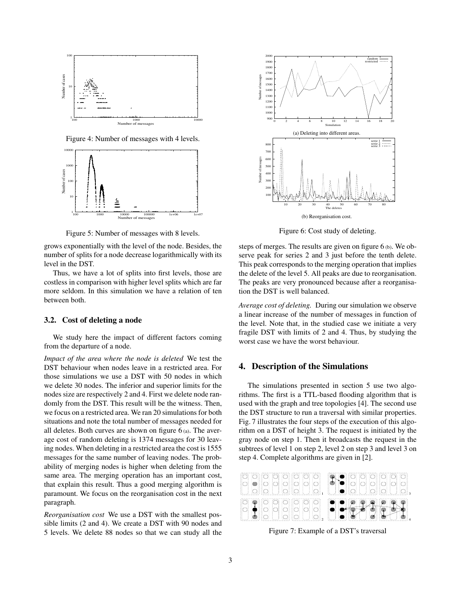

Figure 4: Number of messages with 4 levels.



Figure 5: Number of messages with 8 levels.

grows exponentially with the level of the node. Besides, the number of splits for a node decrease logarithmically with its level in the DST.

Thus, we have a lot of splits into first levels, those are costless in comparison with higher level splits which are far more seldom. In this simulation we have a relation of ten between both.

## 3.2. Cost of deleting a node

We study here the impact of different factors coming from the departure of a node.

*Impact of the area where the node is deleted* We test the DST behaviour when nodes leave in a restricted area. For those simulations we use a DST with 50 nodes in which we delete 30 nodes. The inferior and superior limits for the nodes size are respectively 2 and 4. First we delete node randomly from the DST. This result will be the witness. Then, we focus on a restricted area. We ran 20 simulations for both situations and note the total number of messages needed for all deletes. Both curves are shown on figure  $6(a)$ . The average cost of random deleting is 1374 messages for 30 leaving nodes. When deleting in a restricted area the cost is 1555 messages for the same number of leaving nodes. The probability of merging nodes is higher when deleting from the same area. The merging operation has an important cost, that explain this result. Thus a good merging algorithm is paramount. We focus on the reorganisation cost in the next paragraph.

*Reorganisation cost* We use a DST with the smallest possible limits (2 and 4). We create a DST with 90 nodes and 5 levels. We delete 88 nodes so that we can study all the



Figure 6: Cost study of deleting.

steps of merges. The results are given on figure 6 (b). We observe peak for series 2 and 3 just before the tenth delete. This peak corresponds to the merging operation that implies the delete of the level 5. All peaks are due to reorganisation. The peaks are very pronounced because after a reorganisation the DST is well balanced.

*Average cost of deleting.* During our simulation we observe a linear increase of the number of messages in function of the level. Note that, in the studied case we initiate a very fragile DST with limits of 2 and 4. Thus, by studying the worst case we have the worst behaviour.

# 4. Description of the Simulations

The simulations presented in section 5 use two algorithms. The first is a TTL-based flooding algorithm that is used with the graph and tree topologies [4]. The second use the DST structure to run a traversal with similar properties. Fig. 7 illustrates the four steps of the execution of this algorithm on a DST of height 3. The request is initiated by the gray node on step 1. Then it broadcasts the request in the subtrees of level 1 on step 2, level 2 on step 3 and level 3 on step 4. Complete algorithms are given in [2].



Figure 7: Example of a DST's traversal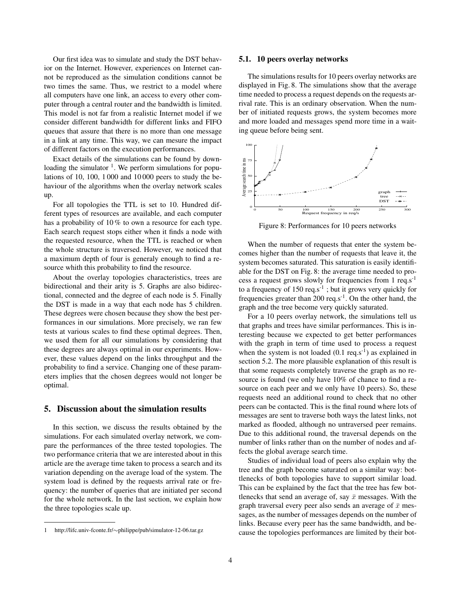Our first idea was to simulate and study the DST behavior on the Internet. However, experiences on Internet cannot be reproduced as the simulation conditions cannot be two times the same. Thus, we restrict to a model where all computers have one link, an access to every other computer through a central router and the bandwidth is limited. This model is not far from a realistic Internet model if we consider different bandwidth for different links and FIFO queues that assure that there is no more than one message in a link at any time. This way, we can mesure the impact of different factors on the execution performances.

Exact details of the simulations can be found by downloading the simulator <sup>1</sup>. We perform simulations for populations of 10, 100, 1 000 and 10 000 peers to study the behaviour of the algorithms when the overlay network scales up.

For all topologies the TTL is set to 10. Hundred different types of resources are available, and each computer has a probability of 10% to own a resource for each type. Each search request stops either when it finds a node with the requested resource, when the TTL is reached or when the whole structure is traversed. However, we noticed that a maximum depth of four is generaly enough to find a resource whith this probability to find the resource.

About the overlay topologies characteristics, trees are bidirectional and their arity is 5. Graphs are also bidirectional, connected and the degree of each node is 5. Finally the DST is made in a way that each node has 5 children. These degrees were chosen because they show the best performances in our simulations. More precisely, we ran few tests at various scales to find these optimal degrees. Then, we used them for all our simulations by considering that these degrees are always optimal in our experiments. However, these values depend on the links throughput and the probability to find a service. Changing one of these parameters implies that the chosen degrees would not longer be optimal.

#### 5. Discussion about the simulation results

In this section, we discuss the results obtained by the simulations. For each simulated overlay network, we compare the performances of the three tested topologies. The two performance criteria that we are interested about in this article are the average time taken to process a search and its variation depending on the average load of the system. The system load is defined by the requests arrival rate or frequency: the number of queries that are initiated per second for the whole network. In the last section, we explain how the three topologies scale up.

#### 5.1. 10 peers overlay networks

The simulations results for 10 peers overlay networks are displayed in Fig. 8. The simulations show that the average time needed to process a request depends on the requests arrival rate. This is an ordinary observation. When the number of initiated requests grows, the system becomes more and more loaded and messages spend more time in a waiting queue before being sent.



Figure 8: Performances for 10 peers networks

When the number of requests that enter the system becomes higher than the number of requests that leave it, the system becomes saturated. This saturation is easily identifiable for the DST on Fig. 8: the average time needed to process a request grows slowly for frequencies from 1  $req.s^{-1}$ to a frequency of  $150 \text{ reg.s}^{-1}$ ; but it grows very quickly for frequencies greater than 200 req.s<sup>-1</sup>. On the other hand, the graph and the tree become very quickly saturated.

For a 10 peers overlay network, the simulations tell us that graphs and trees have similar performances. This is interesting because we expected to get better performances with the graph in term of time used to process a request when the system is not loaded  $(0.1 \text{ reg} \cdot \text{s}^{-1})$  as explained in section 5.2. The more plausible explanation of this result is that some requests completely traverse the graph as no resource is found (we only have 10% of chance to find a resource on each peer and we only have 10 peers). So, these requests need an additional round to check that no other peers can be contacted. This is the final round where lots of messages are sent to traverse both ways the latest links, not marked as flooded, although no untraversed peer remains. Due to this additional round, the traversal depends on the number of links rather than on the number of nodes and affects the global average search time.

Studies of individual load of peers also explain why the tree and the graph become saturated on a similar way: bottlenecks of both topologies have to support similar load. This can be explained by the fact that the tree has few bottlenecks that send an average of, say  $\bar{x}$  messages. With the graph traversal every peer also sends an average of  $\bar{x}$  messages, as the number of messages depends on the number of links. Because every peer has the same bandwidth, and because the topologies performances are limited by their bot-

<sup>1</sup> http://lifc.univ-fconte.fr/∼philippe/pub/simulator-12-06.tar.gz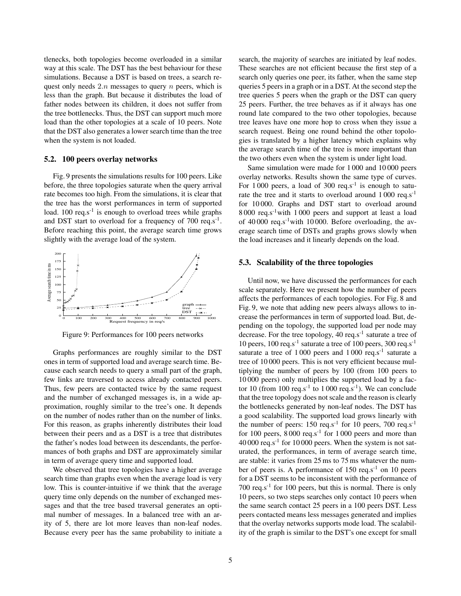tlenecks, both topologies become overloaded in a similar way at this scale. The DST has the best behaviour for these simulations. Because a DST is based on trees, a search request only needs  $2.n$  messages to query  $n$  peers, which is less than the graph. But because it distributes the load of father nodes between its children, it does not suffer from the tree bottlenecks. Thus, the DST can support much more load than the other topologies at a scale of 10 peers. Note that the DST also generates a lower search time than the tree when the system is not loaded.

#### 5.2. 100 peers overlay networks

Fig. 9 presents the simulations results for 100 peers. Like before, the three topologies saturate when the query arrival rate becomes too high. From the simulations, it is clear that the tree has the worst performances in term of supported load. 100  $\text{reg.s}^{-1}$  is enough to overload trees while graphs and DST start to overload for a frequency of  $700 \text{ reg} \cdot \text{s}^{-1}$ . Before reaching this point, the average search time grows slightly with the average load of the system.



Figure 9: Performances for 100 peers networks

Graphs performances are roughly similar to the DST ones in term of supported load and average search time. Because each search needs to query a small part of the graph, few links are traversed to access already contacted peers. Thus, few peers are contacted twice by the same request and the number of exchanged messages is, in a wide approximation, roughly similar to the tree's one. It depends on the number of nodes rather than on the number of links. For this reason, as graphs inherently distributes their load between their peers and as a DST is a tree that distributes the father's nodes load between its descendants, the performances of both graphs and DST are approximately similar in term of average query time and supported load.

We observed that tree topologies have a higher average search time than graphs even when the average load is very low. This is counter-intuitive if we think that the average query time only depends on the number of exchanged messages and that the tree based traversal generates an optimal number of messages. In a balanced tree with an arity of 5, there are lot more leaves than non-leaf nodes. Because every peer has the same probability to initiate a

search, the majority of searches are initiated by leaf nodes. These searches are not efficient because the first step of a search only queries one peer, its father, when the same step queries 5 peers in a graph or in a DST. At the second step the tree queries 5 peers when the graph or the DST can query 25 peers. Further, the tree behaves as if it always has one round late compared to the two other topologies, because tree leaves have one more hop to cross when they issue a search request. Being one round behind the other topologies is translated by a higher latency which explains why the average search time of the tree is more important than the two others even when the system is under light load.

Same simulation were made for 1 000 and 10 000 peers overlay networks. Results shown the same type of curves. For  $1000$  peers, a load of  $300$  req.s<sup>-1</sup> is enough to saturate the tree and it starts to overload around 1 000 req.s-1 for 10 000. Graphs and DST start to overload around 8 000 req.s-1with 1 000 peers and support at least a load of  $40000$  req.s<sup>-1</sup>with 10000. Before overloading, the average search time of DSTs and graphs grows slowly when the load increases and it linearly depends on the load.

#### 5.3. Scalability of the three topologies

Until now, we have discussed the performances for each scale separately. Here we present how the number of peers affects the performances of each topologies. For Fig. 8 and Fig. 9, we note that adding new peers always allows to increase the performances in term of supported load. But, depending on the topology, the supported load per node may decrease. For the tree topology, 40 req.s<sup>-1</sup> saturate a tree of 10 peers, 100 req.s<sup>-1</sup> saturate a tree of 100 peers, 300 req.s<sup>-1</sup> saturate a tree of 1 000 peers and 1 000 req.s<sup>-1</sup> saturate a tree of 10 000 peers. This is not very efficient because multiplying the number of peers by 100 (from 100 peers to 10 000 peers) only multiplies the supported load by a factor 10 (from 100 req.s<sup>-1</sup> to 1000 req.s<sup>-1</sup>). We can conclude that the tree topology does not scale and the reason is clearly the bottlenecks generated by non-leaf nodes. The DST has a good scalability. The supported load grows linearly with the number of peers:  $150 \text{ reg.s}^{-1}$  for  $10 \text{ peers}, 700 \text{ reg.s}^{-1}$ for 100 peers,  $8000 \text{ reg.s}^{-1}$  for 1000 peers and more than  $40\,000$  req.s<sup>-1</sup> for 10 000 peers. When the system is not saturated, the performances, in term of average search time, are stable: it varies from 25 ms to 75 ms whatever the number of peers is. A performance of  $150 \text{ reg.s}^{-1}$  on  $10 \text{ peers}$ for a DST seems to be inconsistent with the performance of 700  $\text{req} \cdot \text{s}^{-1}$  for 100 peers, but this is normal. There is only 10 peers, so two steps searches only contact 10 peers when the same search contact 25 peers in a 100 peers DST. Less peers contacted means less messages generated and implies that the overlay networks supports mode load. The scalability of the graph is similar to the DST's one except for small